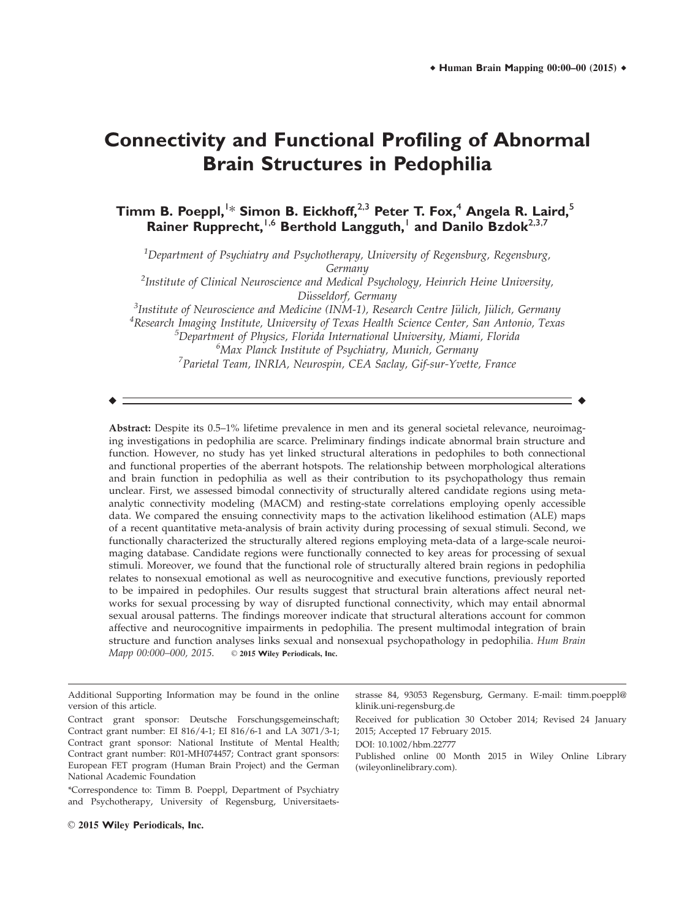# **Connectivity and Functional Profiling of Abnormal Brain Structures in Pedophilia**

**Timm B. Poeppl,**<sup>1</sup> \* **Simon B. Eickhoff,**2,3 **Peter T. Fox,**<sup>4</sup> **Angela R. Laird,**<sup>5</sup> **Rainer Rupprecht,**1,6 **Berthold Langguth,**<sup>1</sup> **and Danilo Bzdok**2,3,7

 $^1$ Department of Psychiatry and Psychotherapy, University of Regensburg, Regensburg, Germany

 $^2$ Institute of Clinical Neuroscience and Medical Psychology, Heinrich Heine University, Düsseldorf, Germany<br><sup>3</sup>Institute of Neuroscience and Medicine (INM-1), Resea

<sup>3</sup>Institute of Neuroscience and Medicine (INM-1), Research Centre Jülich, Jülich, Germany<br><sup>4</sup>Research Imaging Institute Huiversitu of Texas Health Science Center, San Antonio, Texa <sup>4</sup>Research Imaging Institute, University of Texas Health Science Center, San Antonio, Texas  $^5$ Department of Physics, Florida International University, Miami, Florida 6 Max Planck Institute of Psychiatry, Munich, Germany <sup>7</sup> Parietal Team, INRIA, Neurospin, CEA Saclay, Gif-sur-Yvette, France

 $\bullet$  -contract to the contract of the contract of the contract of the contract of the contract of the contract of the contract of the contract of the contract of the contract of the contract of the contract of the contrac

Abstract: Despite its 0.5–1% lifetime prevalence in men and its general societal relevance, neuroimaging investigations in pedophilia are scarce. Preliminary findings indicate abnormal brain structure and function. However, no study has yet linked structural alterations in pedophiles to both connectional and functional properties of the aberrant hotspots. The relationship between morphological alterations and brain function in pedophilia as well as their contribution to its psychopathology thus remain unclear. First, we assessed bimodal connectivity of structurally altered candidate regions using metaanalytic connectivity modeling (MACM) and resting-state correlations employing openly accessible data. We compared the ensuing connectivity maps to the activation likelihood estimation (ALE) maps of a recent quantitative meta-analysis of brain activity during processing of sexual stimuli. Second, we functionally characterized the structurally altered regions employing meta-data of a large-scale neuroimaging database. Candidate regions were functionally connected to key areas for processing of sexual stimuli. Moreover, we found that the functional role of structurally altered brain regions in pedophilia relates to nonsexual emotional as well as neurocognitive and executive functions, previously reported to be impaired in pedophiles. Our results suggest that structural brain alterations affect neural networks for sexual processing by way of disrupted functional connectivity, which may entail abnormal sexual arousal patterns. The findings moreover indicate that structural alterations account for common affective and neurocognitive impairments in pedophilia. The present multimodal integration of brain structure and function analyses links sexual and nonsexual psychopathology in pedophilia. Hum Brain Mapp 00:000-000, 2015. © 2015 Wiley Periodicals, Inc.

\*Correspondence to: Timm B. Poeppl, Department of Psychiatry and Psychotherapy, University of Regensburg, Universitaetsstrasse 84, 93053 Regensburg, Germany. E-mail: timm.poeppl@ klinik.uni-regensburg.de

Received for publication 30 October 2014; Revised 24 January 2015; Accepted 17 February 2015.

DOI: 10.1002/hbm.22777

Published online 00 Month 2015 in Wiley Online Library (wileyonlinelibrary.com).

Additional Supporting Information may be found in the online version of this article.

Contract grant sponsor: Deutsche Forschungsgemeinschaft; Contract grant number: EI 816/4-1; EI 816/6-1 and LA 3071/3-1; Contract grant sponsor: National Institute of Mental Health; Contract grant number: R01-MH074457; Contract grant sponsors: European FET program (Human Brain Project) and the German National Academic Foundation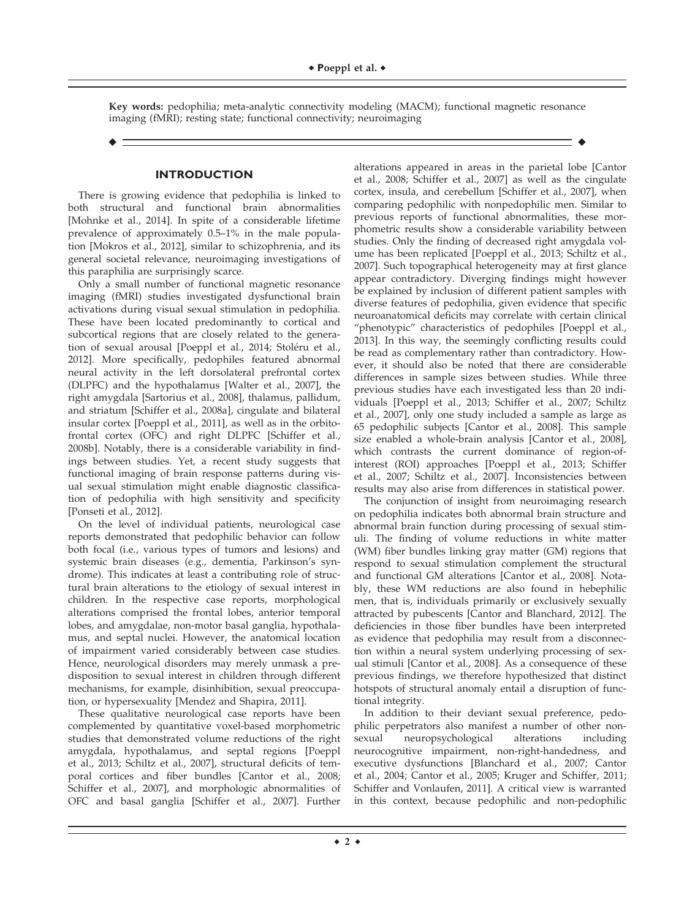Key words: pedophilia; meta-analytic connectivity modeling (MACM); functional magnetic resonance imaging (fMRI); resting state; functional connectivity; neuroimaging

r r

## **INTRODUCTION**

There is growing evidence that pedophilia is linked to both structural and functional brain abnormalities [Mohnke et al., 2014]. In spite of a considerable lifetime prevalence of approximately 0.5–1% in the male population [Mokros et al., 2012], similar to schizophrenia, and its general societal relevance, neuroimaging investigations of this paraphilia are surprisingly scarce.

Only a small number of functional magnetic resonance imaging (fMRI) studies investigated dysfunctional brain activations during visual sexual stimulation in pedophilia. These have been located predominantly to cortical and subcortical regions that are closely related to the generation of sexual arousal [Poeppl et al., 2014; Stoléru et al., 2012]. More specifically, pedophiles featured abnormal neural activity in the left dorsolateral prefrontal cortex (DLPFC) and the hypothalamus [Walter et al., 2007], the right amygdala [Sartorius et al., 2008], thalamus, pallidum, and striatum [Schiffer et al., 2008a], cingulate and bilateral insular cortex [Poeppl et al., 2011], as well as in the orbitofrontal cortex (OFC) and right DLPFC [Schiffer et al., 2008b]. Notably, there is a considerable variability in findings between studies. Yet, a recent study suggests that functional imaging of brain response patterns during visual sexual stimulation might enable diagnostic classification of pedophilia with high sensitivity and specificity [Ponseti et al., 2012].

On the level of individual patients, neurological case reports demonstrated that pedophilic behavior can follow both focal (i.e., various types of tumors and lesions) and systemic brain diseases (e.g., dementia, Parkinson's syndrome). This indicates at least a contributing role of structural brain alterations to the etiology of sexual interest in children. In the respective case reports, morphological alterations comprised the frontal lobes, anterior temporal lobes, and amygdalae, non-motor basal ganglia, hypothalamus, and septal nuclei. However, the anatomical location of impairment varied considerably between case studies. Hence, neurological disorders may merely unmask a predisposition to sexual interest in children through different mechanisms, for example, disinhibition, sexual preoccupation, or hypersexuality [Mendez and Shapira, 2011].

These qualitative neurological case reports have been complemented by quantitative voxel-based morphometric studies that demonstrated volume reductions of the right amygdala, hypothalamus, and septal regions [Poeppl et al., 2013; Schiltz et al., 2007], structural deficits of temporal cortices and fiber bundles [Cantor et al., 2008; Schiffer et al., 2007], and morphologic abnormalities of OFC and basal ganglia [Schiffer et al., 2007]. Further

alterations appeared in areas in the parietal lobe [Cantor et al., 2008; Schiffer et al., 2007] as well as the cingulate cortex, insula, and cerebellum [Schiffer et al., 2007], when comparing pedophilic with nonpedophilic men. Similar to previous reports of functional abnormalities, these morphometric results show a considerable variability between studies. Only the finding of decreased right amygdala volume has been replicated [Poeppl et al., 2013; Schiltz et al., 2007]. Such topographical heterogeneity may at first glance appear contradictory. Diverging findings might however be explained by inclusion of different patient samples with diverse features of pedophilia, given evidence that specific neuroanatomical deficits may correlate with certain clinical "phenotypic" characteristics of pedophiles [Poeppl et al., 2013]. In this way, the seemingly conflicting results could be read as complementary rather than contradictory. However, it should also be noted that there are considerable differences in sample sizes between studies. While three previous studies have each investigated less than 20 individuals [Poeppl et al., 2013; Schiffer et al., 2007; Schiltz et al., 2007], only one study included a sample as large as 65 pedophilic subjects [Cantor et al., 2008]. This sample size enabled a whole-brain analysis [Cantor et al., 2008], which contrasts the current dominance of region-ofinterest (ROI) approaches [Poeppl et al., 2013; Schiffer et al., 2007; Schiltz et al., 2007]. Inconsistencies between results may also arise from differences in statistical power.

The conjunction of insight from neuroimaging research on pedophilia indicates both abnormal brain structure and abnormal brain function during processing of sexual stimuli. The finding of volume reductions in white matter (WM) fiber bundles linking gray matter (GM) regions that respond to sexual stimulation complement the structural and functional GM alterations [Cantor et al., 2008]. Notably, these WM reductions are also found in hebephilic men, that is, individuals primarily or exclusively sexually attracted by pubescents [Cantor and Blanchard, 2012]. The deficiencies in those fiber bundles have been interpreted as evidence that pedophilia may result from a disconnection within a neural system underlying processing of sexual stimuli [Cantor et al., 2008]. As a consequence of these previous findings, we therefore hypothesized that distinct hotspots of structural anomaly entail a disruption of functional integrity.

In addition to their deviant sexual preference, pedophilic perpetrators also manifest a number of other nonsexual neuropsychological alterations including neurocognitive impairment, non-right-handedness, and executive dysfunctions [Blanchard et al., 2007; Cantor et al., 2004; Cantor et al., 2005; Kruger and Schiffer, 2011; Schiffer and Vonlaufen, 2011]. A critical view is warranted in this context, because pedophilic and non-pedophilic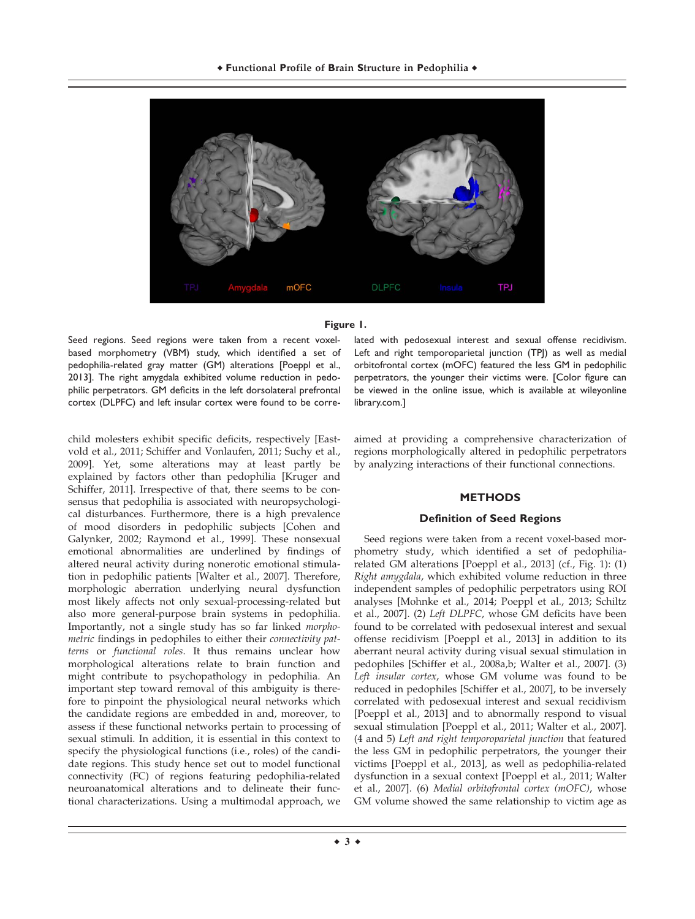

# **Figure 1.**

Seed regions. Seed regions were taken from a recent voxelbased morphometry (VBM) study, which identified a set of pedophilia-related gray matter (GM) alterations [Poeppl et al., 2013]. The right amygdala exhibited volume reduction in pedophilic perpetrators. GM deficits in the left dorsolateral prefrontal cortex (DLPFC) and left insular cortex were found to be corre-

child molesters exhibit specific deficits, respectively [Eastvold et al., 2011; Schiffer and Vonlaufen, 2011; Suchy et al., 2009]. Yet, some alterations may at least partly be explained by factors other than pedophilia [Kruger and Schiffer, 2011]. Irrespective of that, there seems to be consensus that pedophilia is associated with neuropsychological disturbances. Furthermore, there is a high prevalence of mood disorders in pedophilic subjects [Cohen and Galynker, 2002; Raymond et al., 1999]. These nonsexual emotional abnormalities are underlined by findings of altered neural activity during nonerotic emotional stimulation in pedophilic patients [Walter et al., 2007]. Therefore, morphologic aberration underlying neural dysfunction most likely affects not only sexual-processing-related but also more general-purpose brain systems in pedophilia. Importantly, not a single study has so far linked morphometric findings in pedophiles to either their connectivity patterns or functional roles. It thus remains unclear how morphological alterations relate to brain function and might contribute to psychopathology in pedophilia. An important step toward removal of this ambiguity is therefore to pinpoint the physiological neural networks which the candidate regions are embedded in and, moreover, to assess if these functional networks pertain to processing of sexual stimuli. In addition, it is essential in this context to specify the physiological functions (i.e., roles) of the candidate regions. This study hence set out to model functional connectivity (FC) of regions featuring pedophilia-related neuroanatomical alterations and to delineate their functional characterizations. Using a multimodal approach, we

lated with pedosexual interest and sexual offense recidivism. Left and right temporoparietal junction (TPJ) as well as medial orbitofrontal cortex (mOFC) featured the less GM in pedophilic perpetrators, the younger their victims were. [Color figure can be viewed in the online issue, which is available at [wileyonline](http://wileyonlinelibrary.com) [library.com.](http://wileyonlinelibrary.com)]

aimed at providing a comprehensive characterization of regions morphologically altered in pedophilic perpetrators by analyzing interactions of their functional connections.

# **METHODS**

# **Definition of Seed Regions**

Seed regions were taken from a recent voxel-based morphometry study, which identified a set of pedophiliarelated GM alterations [Poeppl et al., 2013] (cf., Fig. 1): (1) Right amygdala, which exhibited volume reduction in three independent samples of pedophilic perpetrators using ROI analyses [Mohnke et al., 2014; Poeppl et al., 2013; Schiltz et al., 2007]. (2) Left DLPFC, whose GM deficits have been found to be correlated with pedosexual interest and sexual offense recidivism [Poeppl et al., 2013] in addition to its aberrant neural activity during visual sexual stimulation in pedophiles [Schiffer et al., 2008a,b; Walter et al., 2007]. (3) Left insular cortex, whose GM volume was found to be reduced in pedophiles [Schiffer et al., 2007], to be inversely correlated with pedosexual interest and sexual recidivism [Poeppl et al., 2013] and to abnormally respond to visual sexual stimulation [Poeppl et al., 2011; Walter et al., 2007]. (4 and 5) Left and right temporoparietal junction that featured the less GM in pedophilic perpetrators, the younger their victims [Poeppl et al., 2013], as well as pedophilia-related dysfunction in a sexual context [Poeppl et al., 2011; Walter et al., 2007]. (6) Medial orbitofrontal cortex (mOFC), whose GM volume showed the same relationship to victim age as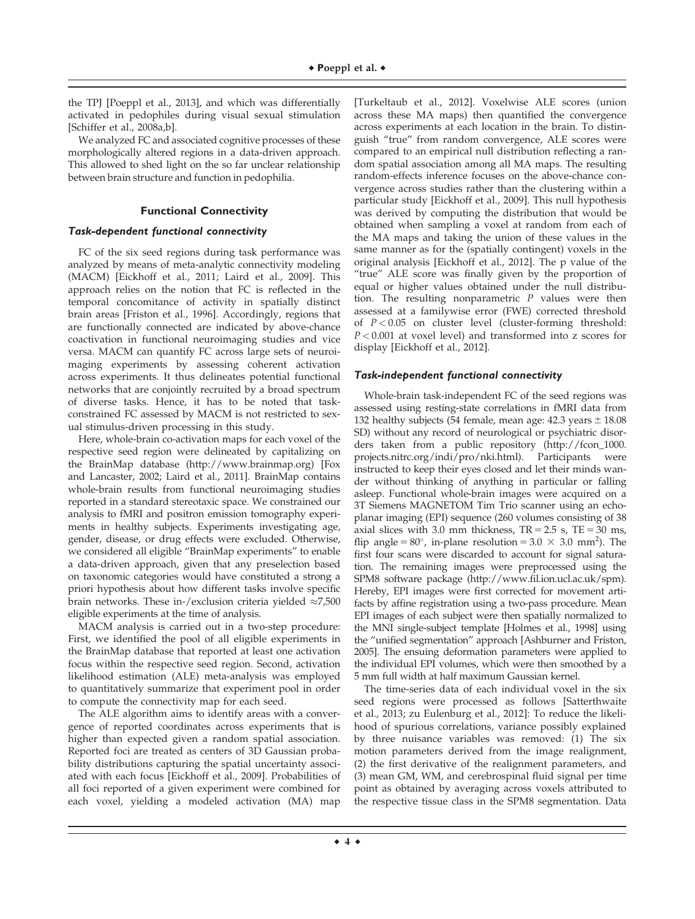the TPJ [Poeppl et al., 2013], and which was differentially activated in pedophiles during visual sexual stimulation [Schiffer et al., 2008a,b].

We analyzed FC and associated cognitive processes of these morphologically altered regions in a data-driven approach. This allowed to shed light on the so far unclear relationship between brain structure and function in pedophilia.

#### **Functional Connectivity**

## Task-dependent functional connectivity

FC of the six seed regions during task performance was analyzed by means of meta-analytic connectivity modeling (MACM) [Eickhoff et al., 2011; Laird et al., 2009]. This approach relies on the notion that FC is reflected in the temporal concomitance of activity in spatially distinct brain areas [Friston et al., 1996]. Accordingly, regions that are functionally connected are indicated by above-chance coactivation in functional neuroimaging studies and vice versa. MACM can quantify FC across large sets of neuroimaging experiments by assessing coherent activation across experiments. It thus delineates potential functional networks that are conjointly recruited by a broad spectrum of diverse tasks. Hence, it has to be noted that taskconstrained FC assessed by MACM is not restricted to sexual stimulus-driven processing in this study.

Here, whole-brain co-activation maps for each voxel of the respective seed region were delineated by capitalizing on the BrainMap database ([http://www.brainmap.org\)](http://www.brainmap.org) [Fox and Lancaster, 2002; Laird et al., 2011]. BrainMap contains whole-brain results from functional neuroimaging studies reported in a standard stereotaxic space. We constrained our analysis to fMRI and positron emission tomography experiments in healthy subjects. Experiments investigating age, gender, disease, or drug effects were excluded. Otherwise, we considered all eligible "BrainMap experiments" to enable a data-driven approach, given that any preselection based on taxonomic categories would have constituted a strong a priori hypothesis about how different tasks involve specific brain networks. These in-/exclusion criteria yielded  $\approx$ 7,500 eligible experiments at the time of analysis.

MACM analysis is carried out in a two-step procedure: First, we identified the pool of all eligible experiments in the BrainMap database that reported at least one activation focus within the respective seed region. Second, activation likelihood estimation (ALE) meta-analysis was employed to quantitatively summarize that experiment pool in order to compute the connectivity map for each seed.

The ALE algorithm aims to identify areas with a convergence of reported coordinates across experiments that is higher than expected given a random spatial association. Reported foci are treated as centers of 3D Gaussian probability distributions capturing the spatial uncertainty associated with each focus [Eickhoff et al., 2009]. Probabilities of all foci reported of a given experiment were combined for each voxel, yielding a modeled activation (MA) map

[Turkeltaub et al., 2012]. Voxelwise ALE scores (union across these MA maps) then quantified the convergence across experiments at each location in the brain. To distinguish "true" from random convergence, ALE scores were compared to an empirical null distribution reflecting a random spatial association among all MA maps. The resulting random-effects inference focuses on the above-chance convergence across studies rather than the clustering within a particular study [Eickhoff et al., 2009]. This null hypothesis was derived by computing the distribution that would be obtained when sampling a voxel at random from each of the MA maps and taking the union of these values in the same manner as for the (spatially contingent) voxels in the original analysis [Eickhoff et al., 2012]. The p value of the "true" ALE score was finally given by the proportion of equal or higher values obtained under the null distribution. The resulting nonparametric  $P$  values were then assessed at a familywise error (FWE) corrected threshold of  $P < 0.05$  on cluster level (cluster-forming threshold:  $P < 0.001$  at voxel level) and transformed into z scores for display [Eickhoff et al., 2012].

#### Task-independent functional connectivity

Whole-brain task-independent FC of the seed regions was assessed using resting-state correlations in fMRI data from 132 healthy subjects (54 female, mean age:  $42.3$  years  $\pm 18.08$ SD) without any record of neurological or psychiatric disorders taken from a public repository ([http://fcon\\_1000.](http://fcon_1000.projects.nitrc.org/indi/pro/nki.html) [projects.nitrc.org/indi/pro/nki.html](http://fcon_1000.projects.nitrc.org/indi/pro/nki.html)). Participants were instructed to keep their eyes closed and let their minds wander without thinking of anything in particular or falling asleep. Functional whole-brain images were acquired on a 3T Siemens MAGNETOM Tim Trio scanner using an echoplanar imaging (EPI) sequence (260 volumes consisting of 38 axial slices with 3.0 mm thickness,  $TR = 2.5$  s,  $TE = 30$  ms, flip angle =  $80^{\circ}$ , in-plane resolution =  $3.0 \times 3.0 \text{ mm}^2$ ). The first four scans were discarded to account for signal saturation. The remaining images were preprocessed using the SPM8 software package [\(http://www.fil.ion.ucl.ac.uk/spm\)](http://www.fil.ion.ucl.ac.uk/spm). Hereby, EPI images were first corrected for movement artifacts by affine registration using a two-pass procedure. Mean EPI images of each subject were then spatially normalized to the MNI single-subject template [Holmes et al., 1998] using the "unified segmentation" approach [Ashburner and Friston, 2005]. The ensuing deformation parameters were applied to the individual EPI volumes, which were then smoothed by a 5 mm full width at half maximum Gaussian kernel.

The time-series data of each individual voxel in the six seed regions were processed as follows [Satterthwaite et al., 2013; zu Eulenburg et al., 2012]: To reduce the likelihood of spurious correlations, variance possibly explained by three nuisance variables was removed: (1) The six motion parameters derived from the image realignment, (2) the first derivative of the realignment parameters, and (3) mean GM, WM, and cerebrospinal fluid signal per time point as obtained by averaging across voxels attributed to the respective tissue class in the SPM8 segmentation. Data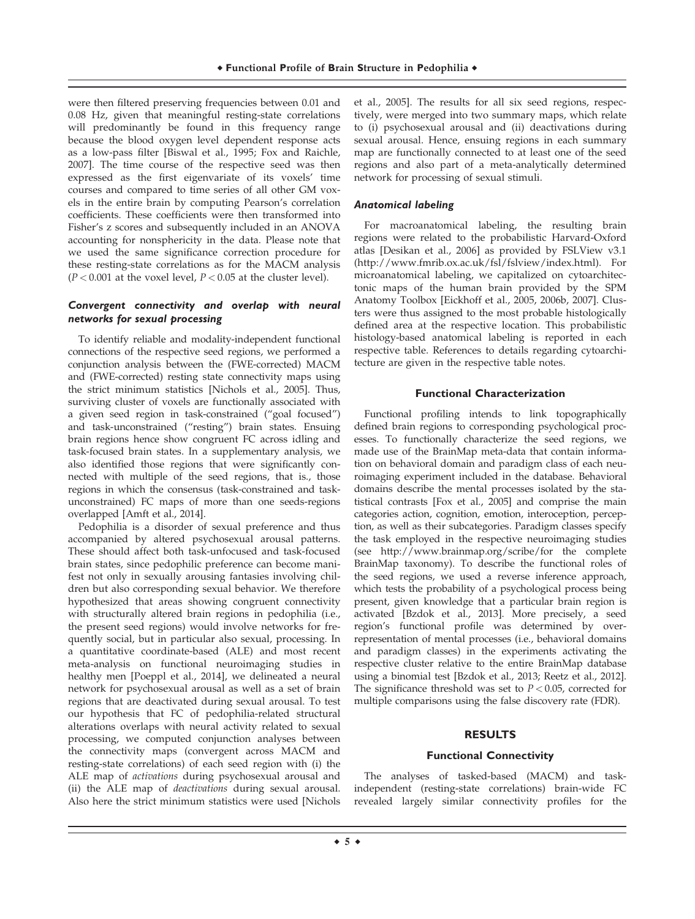were then filtered preserving frequencies between 0.01 and 0.08 Hz, given that meaningful resting-state correlations will predominantly be found in this frequency range because the blood oxygen level dependent response acts as a low-pass filter [Biswal et al., 1995; Fox and Raichle, 2007]. The time course of the respective seed was then expressed as the first eigenvariate of its voxels' time courses and compared to time series of all other GM voxels in the entire brain by computing Pearson's correlation coefficients. These coefficients were then transformed into Fisher's z scores and subsequently included in an ANOVA accounting for nonsphericity in the data. Please note that we used the same significance correction procedure for these resting-state correlations as for the MACM analysis  $(P < 0.001$  at the voxel level,  $P < 0.05$  at the cluster level).

# Convergent connectivity and overlap with neural networks for sexual processing

To identify reliable and modality-independent functional connections of the respective seed regions, we performed a conjunction analysis between the (FWE-corrected) MACM and (FWE-corrected) resting state connectivity maps using the strict minimum statistics [Nichols et al., 2005]. Thus, surviving cluster of voxels are functionally associated with a given seed region in task-constrained ("goal focused") and task-unconstrained ("resting") brain states. Ensuing brain regions hence show congruent FC across idling and task-focused brain states. In a supplementary analysis, we also identified those regions that were significantly connected with multiple of the seed regions, that is., those regions in which the consensus (task-constrained and taskunconstrained) FC maps of more than one seeds-regions overlapped [Amft et al., 2014].

Pedophilia is a disorder of sexual preference and thus accompanied by altered psychosexual arousal patterns. These should affect both task-unfocused and task-focused brain states, since pedophilic preference can become manifest not only in sexually arousing fantasies involving children but also corresponding sexual behavior. We therefore hypothesized that areas showing congruent connectivity with structurally altered brain regions in pedophilia (i.e., the present seed regions) would involve networks for frequently social, but in particular also sexual, processing. In a quantitative coordinate-based (ALE) and most recent meta-analysis on functional neuroimaging studies in healthy men [Poeppl et al., 2014], we delineated a neural network for psychosexual arousal as well as a set of brain regions that are deactivated during sexual arousal. To test our hypothesis that FC of pedophilia-related structural alterations overlaps with neural activity related to sexual processing, we computed conjunction analyses between the connectivity maps (convergent across MACM and resting-state correlations) of each seed region with (i) the ALE map of activations during psychosexual arousal and (ii) the ALE map of deactivations during sexual arousal. Also here the strict minimum statistics were used [Nichols et al., 2005]. The results for all six seed regions, respectively, were merged into two summary maps, which relate to (i) psychosexual arousal and (ii) deactivations during sexual arousal. Hence, ensuing regions in each summary map are functionally connected to at least one of the seed regions and also part of a meta-analytically determined network for processing of sexual stimuli.

# Anatomical labeling

For macroanatomical labeling, the resulting brain regions were related to the probabilistic Harvard-Oxford atlas [Desikan et al., 2006] as provided by FSLView v3.1 ([http://www.fmrib.ox.ac.uk/fsl/fslview/index.html\)](http://www.fmrib.ox.ac.uk/fsl/fslview/index.html). For microanatomical labeling, we capitalized on cytoarchitectonic maps of the human brain provided by the SPM Anatomy Toolbox [Eickhoff et al., 2005, 2006b, 2007]. Clusters were thus assigned to the most probable histologically defined area at the respective location. This probabilistic histology-based anatomical labeling is reported in each respective table. References to details regarding cytoarchitecture are given in the respective table notes.

# **Functional Characterization**

Functional profiling intends to link topographically defined brain regions to corresponding psychological processes. To functionally characterize the seed regions, we made use of the BrainMap meta-data that contain information on behavioral domain and paradigm class of each neuroimaging experiment included in the database. Behavioral domains describe the mental processes isolated by the statistical contrasts [Fox et al., 2005] and comprise the main categories action, cognition, emotion, interoception, perception, as well as their subcategories. Paradigm classes specify the task employed in the respective neuroimaging studies (see<http://www.brainmap.org/scribe/for> the complete BrainMap taxonomy). To describe the functional roles of the seed regions, we used a reverse inference approach, which tests the probability of a psychological process being present, given knowledge that a particular brain region is activated [Bzdok et al., 2013]. More precisely, a seed region's functional profile was determined by overrepresentation of mental processes (i.e., behavioral domains and paradigm classes) in the experiments activating the respective cluster relative to the entire BrainMap database using a binomial test [Bzdok et al., 2013; Reetz et al., 2012]. The significance threshold was set to  $P < 0.05$ , corrected for multiple comparisons using the false discovery rate (FDR).

#### **RESULTS**

# **Functional Connectivity**

The analyses of tasked-based (MACM) and taskindependent (resting-state correlations) brain-wide FC revealed largely similar connectivity profiles for the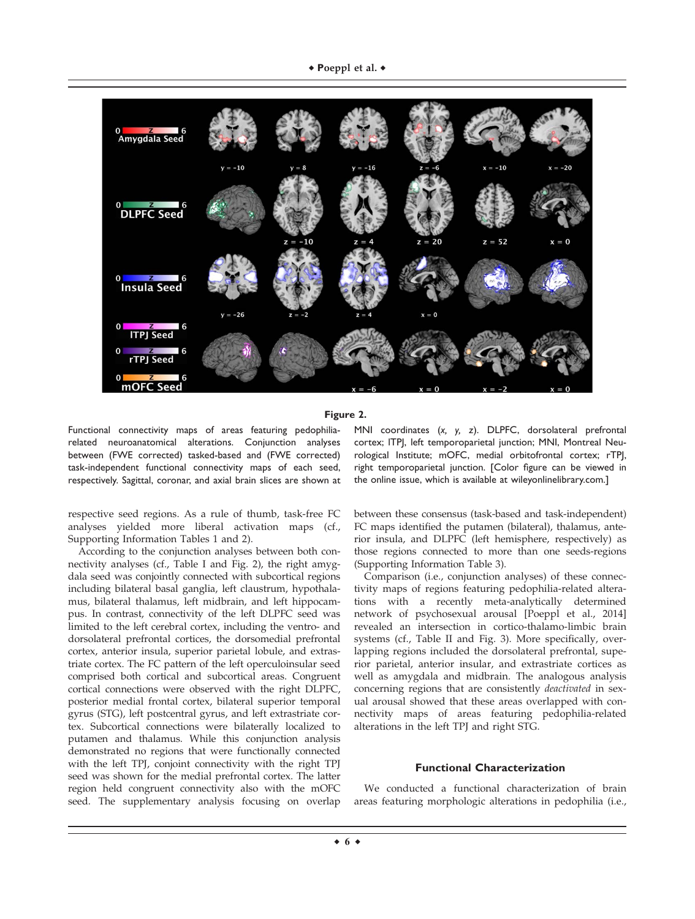

**Figure 2.**

Functional connectivity maps of areas featuring pedophiliarelated neuroanatomical alterations. Conjunction analyses between (FWE corrected) tasked-based and (FWE corrected) task-independent functional connectivity maps of each seed, respectively. Sagittal, coronar, and axial brain slices are shown at

respective seed regions. As a rule of thumb, task-free FC analyses yielded more liberal activation maps (cf., Supporting Information Tables 1 and 2).

According to the conjunction analyses between both connectivity analyses (cf., Table I and Fig. 2), the right amygdala seed was conjointly connected with subcortical regions including bilateral basal ganglia, left claustrum, hypothalamus, bilateral thalamus, left midbrain, and left hippocampus. In contrast, connectivity of the left DLPFC seed was limited to the left cerebral cortex, including the ventro- and dorsolateral prefrontal cortices, the dorsomedial prefrontal cortex, anterior insula, superior parietal lobule, and extrastriate cortex. The FC pattern of the left operculoinsular seed comprised both cortical and subcortical areas. Congruent cortical connections were observed with the right DLPFC, posterior medial frontal cortex, bilateral superior temporal gyrus (STG), left postcentral gyrus, and left extrastriate cortex. Subcortical connections were bilaterally localized to putamen and thalamus. While this conjunction analysis demonstrated no regions that were functionally connected with the left TPJ, conjoint connectivity with the right TPJ seed was shown for the medial prefrontal cortex. The latter region held congruent connectivity also with the mOFC seed. The supplementary analysis focusing on overlap MNI coordinates (*x, y, z*). DLPFC, dorsolateral prefrontal cortex; lTPJ, left temporoparietal junction; MNI, Montreal Neurological Institute; mOFC, medial orbitofrontal cortex; rTPJ, right temporoparietal junction. [Color figure can be viewed in the online issue, which is available at [wileyonlinelibrary.com.](http://wileyonlinelibrary.com)]

between these consensus (task-based and task-independent) FC maps identified the putamen (bilateral), thalamus, anterior insula, and DLPFC (left hemisphere, respectively) as those regions connected to more than one seeds-regions (Supporting Information Table 3).

Comparison (i.e., conjunction analyses) of these connectivity maps of regions featuring pedophilia-related alterations with a recently meta-analytically determined network of psychosexual arousal [Poeppl et al., 2014] revealed an intersection in cortico-thalamo-limbic brain systems (cf., Table II and Fig. 3). More specifically, overlapping regions included the dorsolateral prefrontal, superior parietal, anterior insular, and extrastriate cortices as well as amygdala and midbrain. The analogous analysis concerning regions that are consistently deactivated in sexual arousal showed that these areas overlapped with connectivity maps of areas featuring pedophilia-related alterations in the left TPJ and right STG.

# **Functional Characterization**

We conducted a functional characterization of brain areas featuring morphologic alterations in pedophilia (i.e.,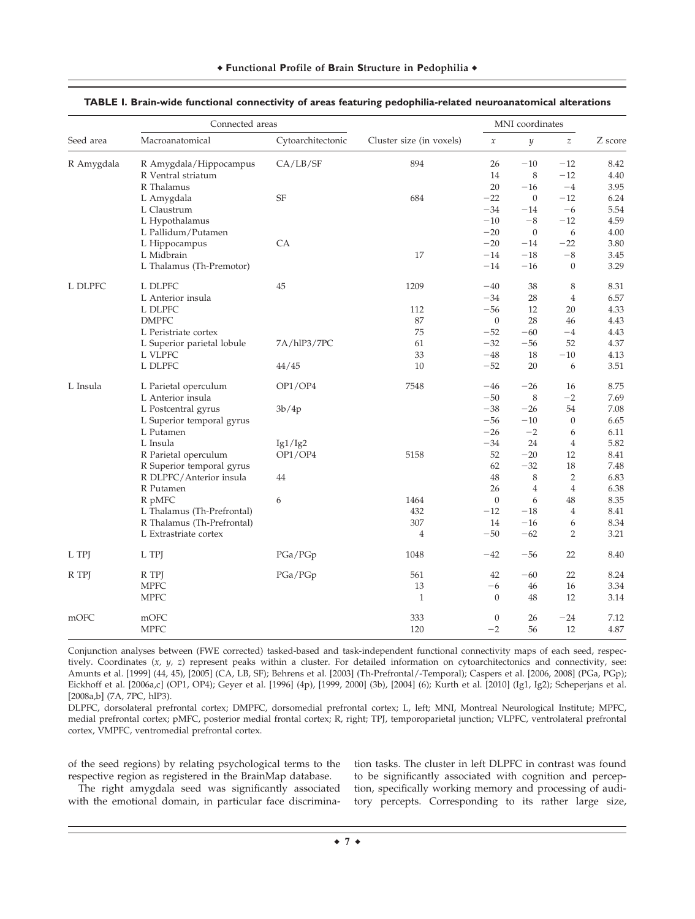|            | Connected areas            |                   |                          | MNI coordinates     |                  |                  |         |
|------------|----------------------------|-------------------|--------------------------|---------------------|------------------|------------------|---------|
| Seed area  | Macroanatomical            | Cytoarchitectonic | Cluster size (in voxels) | $\boldsymbol{\chi}$ | $\mathcal{Y}$    | $\boldsymbol{z}$ | Z score |
| R Amygdala | R Amygdala/Hippocampus     | CA/LB/SF          | 894                      | 26                  | $-10$            | $-12$            | 8.42    |
|            | R Ventral striatum         |                   |                          | 14                  | 8                | $-12$            | 4.40    |
|            | R Thalamus                 |                   |                          | 20                  | $-16$            | $-4$             | 3.95    |
|            | L Amygdala                 | <b>SF</b>         | 684                      | $-22$               | $\overline{0}$   | $-12$            | 6.24    |
|            | L Claustrum                |                   |                          | $-34$               | $-14$            | $-6$             | 5.54    |
|            | L Hypothalamus             |                   |                          | $-10$               | $-8$             | $-12$            | 4.59    |
|            | L Pallidum/Putamen         |                   |                          | $-20$               | $\boldsymbol{0}$ | 6                | 4.00    |
|            | L Hippocampus              | CA                |                          | $-20$               | $-14$            | $-22$            | 3.80    |
|            | L Midbrain                 |                   | 17                       | $-14$               | $-18$            | $-8$             | 3.45    |
|            | L Thalamus (Th-Premotor)   |                   |                          | $-14$               | $-16$            | $\mathbf{0}$     | 3.29    |
| L DLPFC    | L DLPFC                    | 45                | 1209                     | $-40$               | 38               | 8                | 8.31    |
|            | L Anterior insula          |                   |                          | $-34$               | 28               | $\overline{4}$   | 6.57    |
|            | L DLPFC                    |                   | 112                      | $-56$               | 12               | $20\,$           | 4.33    |
|            | <b>DMPFC</b>               |                   | 87                       | $\boldsymbol{0}$    | 28               | 46               | 4.43    |
|            | L Peristriate cortex       |                   | 75                       | $-52$               | $-60$            | $-4$             | 4.43    |
|            | L Superior parietal lobule | 7A/hlP3/7PC       | 61                       | $-32$               | $-56$            | 52               | 4.37    |
|            | L VLPFC                    |                   | 33                       | $-48$               | 18               | $-10\,$          | 4.13    |
|            | L DLPFC                    | 44/45             | 10                       | $-52$               | 20               | 6                | 3.51    |
| L Insula   | L Parietal operculum       | OP1/OP4           | 7548                     | $-46$               | $-26$            | 16               | 8.75    |
|            | L Anterior insula          |                   |                          | $-50$               | 8                | $-2$             | 7.69    |
|            | L Postcentral gyrus        | 3b/4p             |                          | $-38$               | $-26$            | 54               | 7.08    |
|            | L Superior temporal gyrus  |                   |                          | $-56$               | $-10$            | $\mathbf{0}$     | 6.65    |
|            | L Putamen                  |                   |                          | $-26$               | $-2$             | 6                | 6.11    |
|            | L Insula                   | Ig1/Ig2           |                          | $-34$               | 24               | $\overline{4}$   | 5.82    |
|            | R Parietal operculum       | OP1/OP4           | 5158                     | 52                  | $-20$            | 12               | 8.41    |
|            | R Superior temporal gyrus  |                   |                          | 62                  | $-32$            | 18               | 7.48    |
|            | R DLPFC/Anterior insula    | 44                |                          | 48                  | 8                | $\overline{2}$   | 6.83    |
|            | R Putamen                  |                   |                          | 26                  | $\overline{4}$   | $\overline{4}$   | 6.38    |
|            | R pMFC                     | 6                 | 1464                     | $\boldsymbol{0}$    | 6                | 48               | 8.35    |
|            | L Thalamus (Th-Prefrontal) |                   | 432                      | $-12$               | $-18$            | $\overline{4}$   | 8.41    |
|            | R Thalamus (Th-Prefrontal) |                   | 307                      | 14                  | $-16$            | 6                | 8.34    |
|            | L Extrastriate cortex      |                   | $\overline{4}$           | $-50$               | $-62$            | 2                | 3.21    |
| L TPJ      | L TPJ                      | PGa/PGp           | 1048                     | $-42$               | $-56$            | 22               | 8.40    |
| R TPJ      | R TPJ                      | PGa/PGp           | 561                      | 42                  | $-60$            | 22               | 8.24    |
|            | <b>MPFC</b>                |                   | 13                       | $-6$                | 46               | 16               | 3.34    |
|            | <b>MPFC</b>                |                   | $\mathbf{1}$             | $\theta$            | 48               | 12               | 3.14    |
| mOFC       | mOFC                       |                   | 333                      | $\mathbf{0}$        | 26               | $-24$            | 7.12    |
|            | <b>MPFC</b>                |                   | 120                      | $-2$                | 56               | 12               | 4.87    |

# **TABLE I. Brain-wide functional connectivity of areas featuring pedophilia-related neuroanatomical alterations**

Conjunction analyses between (FWE corrected) tasked-based and task-independent functional connectivity maps of each seed, respectively. Coordinates  $(x, y, z)$  represent peaks within a cluster. For detailed information on cytoarchitectonics and connectivity, see: Amunts et al. [1999] (44, 45), [2005] (CA, LB, SF); Behrens et al. [2003] (Th-Prefrontal/-Temporal); Caspers et al. [2006, 2008] (PGa, PGp); Eickhoff et al. [2006a,c] (OP1, OP4); Geyer et al. [1996] (4p), [1999, 2000] (3b), [2004] (6); Kurth et al. [2010] (Ig1, Ig2); Scheperjans et al. [2008a,b] (7A, 7PC, hlP3).

DLPFC, dorsolateral prefrontal cortex; DMPFC, dorsomedial prefrontal cortex; L, left; MNI, Montreal Neurological Institute; MPFC, medial prefrontal cortex; pMFC, posterior medial frontal cortex; R, right; TPJ, temporoparietal junction; VLPFC, ventrolateral prefrontal cortex, VMPFC, ventromedial prefrontal cortex.

of the seed regions) by relating psychological terms to the respective region as registered in the BrainMap database.

The right amygdala seed was significantly associated with the emotional domain, in particular face discrimination tasks. The cluster in left DLPFC in contrast was found to be significantly associated with cognition and perception, specifically working memory and processing of auditory percepts. Corresponding to its rather large size,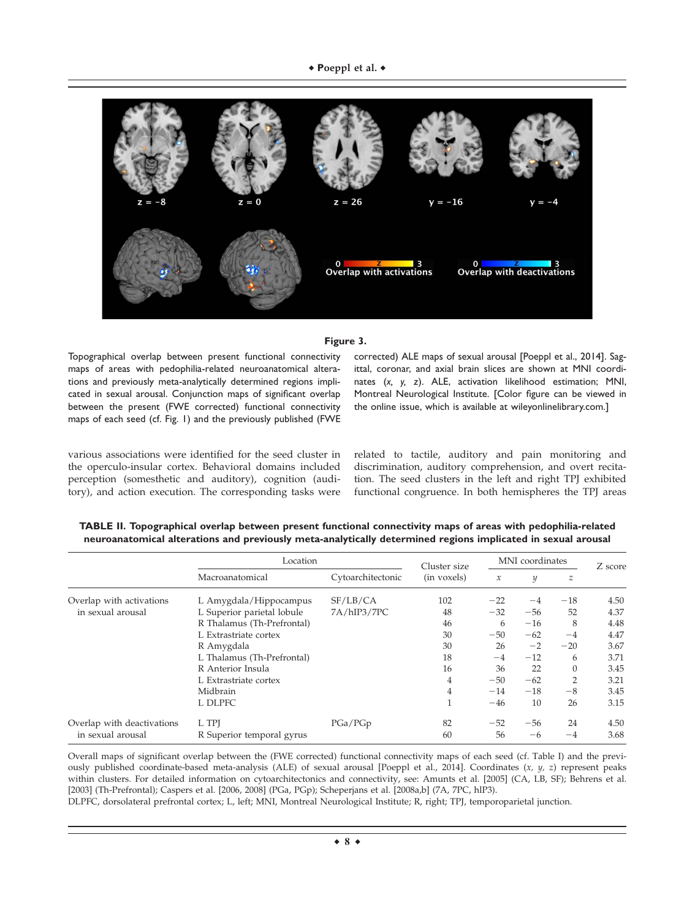

#### **Figure 3.**

Topographical overlap between present functional connectivity maps of areas with pedophilia-related neuroanatomical alterations and previously meta-analytically determined regions implicated in sexual arousal. Conjunction maps of significant overlap between the present (FWE corrected) functional connectivity maps of each seed (cf. Fig. 1) and the previously published (FWE

corrected) ALE maps of sexual arousal [Poeppl et al., 2014]. Sagittal, coronar, and axial brain slices are shown at MNI coordinates (*x, y, z*). ALE, activation likelihood estimation; MNI, Montreal Neurological Institute. [Color figure can be viewed in the online issue, which is available at [wileyonlinelibrary.com.](http://wileyonlinelibrary.com)]

various associations were identified for the seed cluster in the operculo-insular cortex. Behavioral domains included perception (somesthetic and auditory), cognition (auditory), and action execution. The corresponding tasks were related to tactile, auditory and pain monitoring and discrimination, auditory comprehension, and overt recitation. The seed clusters in the left and right TPJ exhibited functional congruence. In both hemispheres the TPJ areas

|                            | Location                   |                   | Cluster size | MNI coordinates     |       |                | Z score |
|----------------------------|----------------------------|-------------------|--------------|---------------------|-------|----------------|---------|
|                            | Macroanatomical            | Cytoarchitectonic | (in voxels)  | $\boldsymbol{\chi}$ | y     | z              |         |
| Overlap with activations   | L Amygdala/Hippocampus     | SF/LB/CA          | 102          | $-22$               | $-4$  | $-18$          | 4.50    |
| in sexual arousal          | L Superior parietal lobule | 7A/hIP3/7PC       | 48           | $-32$               | $-56$ | 52             | 4.37    |
|                            | R Thalamus (Th-Prefrontal) |                   | 46           | 6                   | $-16$ | 8              | 4.48    |
|                            | L Extrastriate cortex      |                   | 30           | $-50$               | $-62$ | $-4$           | 4.47    |
|                            | R Amygdala                 |                   | 30           | 26                  | $-2$  | $-20$          | 3.67    |
|                            | L Thalamus (Th-Prefrontal) |                   | 18           | $-4$                | $-12$ | 6              | 3.71    |
|                            | R Anterior Insula          |                   | 16           | 36                  | 22    | $\theta$       | 3.45    |
|                            | L Extrastriate cortex      |                   | 4            | $-50$               | $-62$ | $\overline{2}$ | 3.21    |
|                            | Midbrain                   |                   | 4            | $-14$               | $-18$ | $-8$           | 3.45    |
|                            | L DLPFC                    |                   |              | $-46$               | 10    | 26             | 3.15    |
| Overlap with deactivations | L TPI                      | PGa/PGp           | 82           | $-52$               | $-56$ | 24             | 4.50    |
| in sexual arousal          | R Superior temporal gyrus  |                   | 60           | 56                  | -6    | $-4$           | 3.68    |

**TABLE II. Topographical overlap between present functional connectivity maps of areas with pedophilia-related neuroanatomical alterations and previously meta-analytically determined regions implicated in sexual arousal**

Overall maps of significant overlap between the (FWE corrected) functional connectivity maps of each seed (cf. Table I) and the previously published coordinate-based meta-analysis (ALE) of sexual arousal [Poeppl et al., 2014]. Coordinates (x, y, z) represent peaks within clusters. For detailed information on cytoarchitectonics and connectivity, see: Amunts et al. [2005] (CA, LB, SF); Behrens et al. [2003] (Th-Prefrontal); Caspers et al. [2006, 2008] (PGa, PGp); Scheperjans et al. [2008a,b] (7A, 7PC, hlP3).

DLPFC, dorsolateral prefrontal cortex; L, left; MNI, Montreal Neurological Institute; R, right; TPJ, temporoparietal junction.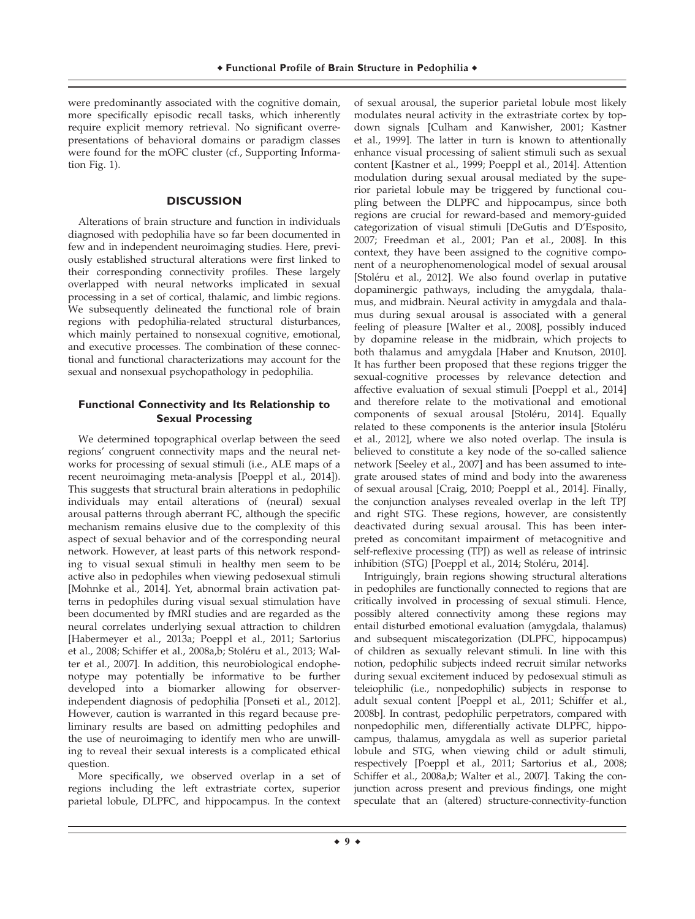were predominantly associated with the cognitive domain, more specifically episodic recall tasks, which inherently require explicit memory retrieval. No significant overrepresentations of behavioral domains or paradigm classes were found for the mOFC cluster (cf., Supporting Information Fig. 1).

## **DISCUSSION**

Alterations of brain structure and function in individuals diagnosed with pedophilia have so far been documented in few and in independent neuroimaging studies. Here, previously established structural alterations were first linked to their corresponding connectivity profiles. These largely overlapped with neural networks implicated in sexual processing in a set of cortical, thalamic, and limbic regions. We subsequently delineated the functional role of brain regions with pedophilia-related structural disturbances, which mainly pertained to nonsexual cognitive, emotional, and executive processes. The combination of these connectional and functional characterizations may account for the sexual and nonsexual psychopathology in pedophilia.

# **Functional Connectivity and Its Relationship to Sexual Processing**

We determined topographical overlap between the seed regions' congruent connectivity maps and the neural networks for processing of sexual stimuli (i.e., ALE maps of a recent neuroimaging meta-analysis [Poeppl et al., 2014]). This suggests that structural brain alterations in pedophilic individuals may entail alterations of (neural) sexual arousal patterns through aberrant FC, although the specific mechanism remains elusive due to the complexity of this aspect of sexual behavior and of the corresponding neural network. However, at least parts of this network responding to visual sexual stimuli in healthy men seem to be active also in pedophiles when viewing pedosexual stimuli [Mohnke et al., 2014]. Yet, abnormal brain activation patterns in pedophiles during visual sexual stimulation have been documented by fMRI studies and are regarded as the neural correlates underlying sexual attraction to children [Habermeyer et al., 2013a; Poeppl et al., 2011; Sartorius et al., 2008; Schiffer et al., 2008a,b; Stoléru et al., 2013; Walter et al., 2007]. In addition, this neurobiological endophenotype may potentially be informative to be further developed into a biomarker allowing for observerindependent diagnosis of pedophilia [Ponseti et al., 2012]. However, caution is warranted in this regard because preliminary results are based on admitting pedophiles and the use of neuroimaging to identify men who are unwilling to reveal their sexual interests is a complicated ethical question.

More specifically, we observed overlap in a set of regions including the left extrastriate cortex, superior parietal lobule, DLPFC, and hippocampus. In the context

of sexual arousal, the superior parietal lobule most likely modulates neural activity in the extrastriate cortex by topdown signals [Culham and Kanwisher, 2001; Kastner et al., 1999]. The latter in turn is known to attentionally enhance visual processing of salient stimuli such as sexual content [Kastner et al., 1999; Poeppl et al., 2014]. Attention modulation during sexual arousal mediated by the superior parietal lobule may be triggered by functional coupling between the DLPFC and hippocampus, since both regions are crucial for reward-based and memory-guided categorization of visual stimuli [DeGutis and D'Esposito, 2007; Freedman et al., 2001; Pan et al., 2008]. In this context, they have been assigned to the cognitive component of a neurophenomenological model of sexual arousal [Stoléru et al., 2012]. We also found overlap in putative dopaminergic pathways, including the amygdala, thalamus, and midbrain. Neural activity in amygdala and thalamus during sexual arousal is associated with a general feeling of pleasure [Walter et al., 2008], possibly induced by dopamine release in the midbrain, which projects to both thalamus and amygdala [Haber and Knutson, 2010]. It has further been proposed that these regions trigger the sexual-cognitive processes by relevance detection and affective evaluation of sexual stimuli [Poeppl et al., 2014] and therefore relate to the motivational and emotional components of sexual arousal [Stoléru, 2014]. Equally related to these components is the anterior insula [Stoléru et al., 2012], where we also noted overlap. The insula is believed to constitute a key node of the so-called salience network [Seeley et al., 2007] and has been assumed to integrate aroused states of mind and body into the awareness of sexual arousal [Craig, 2010; Poeppl et al., 2014]. Finally, the conjunction analyses revealed overlap in the left TPJ and right STG. These regions, however, are consistently deactivated during sexual arousal. This has been interpreted as concomitant impairment of metacognitive and self-reflexive processing (TPJ) as well as release of intrinsic inhibition (STG) [Poeppl et al., 2014; Stoléru, 2014].

Intriguingly, brain regions showing structural alterations in pedophiles are functionally connected to regions that are critically involved in processing of sexual stimuli. Hence, possibly altered connectivity among these regions may entail disturbed emotional evaluation (amygdala, thalamus) and subsequent miscategorization (DLPFC, hippocampus) of children as sexually relevant stimuli. In line with this notion, pedophilic subjects indeed recruit similar networks during sexual excitement induced by pedosexual stimuli as teleiophilic (i.e., nonpedophilic) subjects in response to adult sexual content [Poeppl et al., 2011; Schiffer et al., 2008b]. In contrast, pedophilic perpetrators, compared with nonpedophilic men, differentially activate DLPFC, hippocampus, thalamus, amygdala as well as superior parietal lobule and STG, when viewing child or adult stimuli, respectively [Poeppl et al., 2011; Sartorius et al., 2008; Schiffer et al., 2008a,b; Walter et al., 2007]. Taking the conjunction across present and previous findings, one might speculate that an (altered) structure-connectivity-function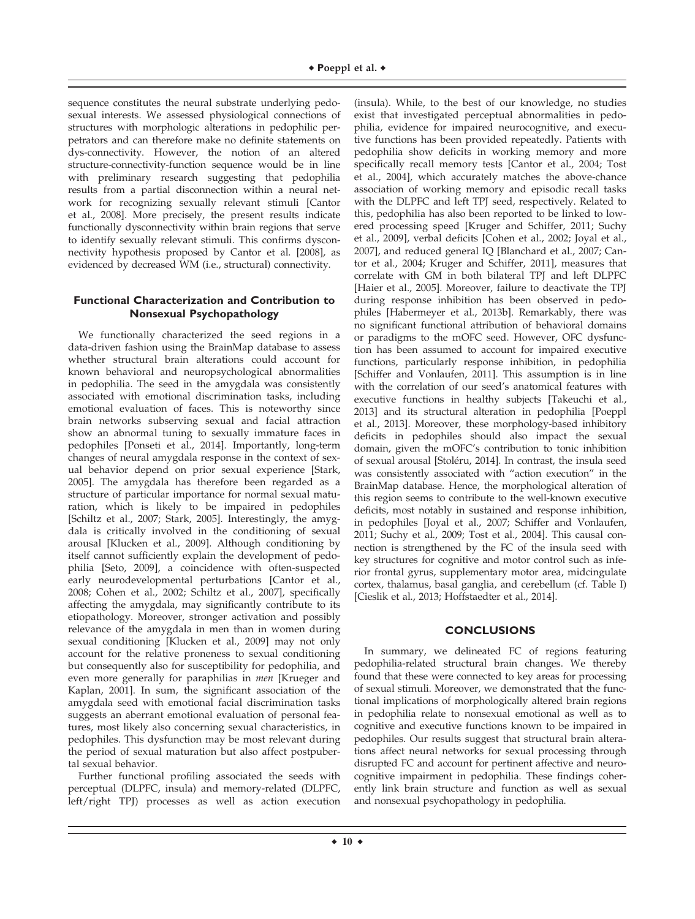sequence constitutes the neural substrate underlying pedosexual interests. We assessed physiological connections of structures with morphologic alterations in pedophilic perpetrators and can therefore make no definite statements on dys-connectivity. However, the notion of an altered structure-connectivity-function sequence would be in line with preliminary research suggesting that pedophilia results from a partial disconnection within a neural network for recognizing sexually relevant stimuli [Cantor et al., 2008]. More precisely, the present results indicate functionally dysconnectivity within brain regions that serve to identify sexually relevant stimuli. This confirms dysconnectivity hypothesis proposed by Cantor et al. [2008], as evidenced by decreased WM (i.e., structural) connectivity.

# **Functional Characterization and Contribution to Nonsexual Psychopathology**

We functionally characterized the seed regions in a data-driven fashion using the BrainMap database to assess whether structural brain alterations could account for known behavioral and neuropsychological abnormalities in pedophilia. The seed in the amygdala was consistently associated with emotional discrimination tasks, including emotional evaluation of faces. This is noteworthy since brain networks subserving sexual and facial attraction show an abnormal tuning to sexually immature faces in pedophiles [Ponseti et al., 2014]. Importantly, long-term changes of neural amygdala response in the context of sexual behavior depend on prior sexual experience [Stark, 2005]. The amygdala has therefore been regarded as a structure of particular importance for normal sexual maturation, which is likely to be impaired in pedophiles [Schiltz et al., 2007; Stark, 2005]. Interestingly, the amygdala is critically involved in the conditioning of sexual arousal [Klucken et al., 2009]. Although conditioning by itself cannot sufficiently explain the development of pedophilia [Seto, 2009], a coincidence with often-suspected early neurodevelopmental perturbations [Cantor et al., 2008; Cohen et al., 2002; Schiltz et al., 2007], specifically affecting the amygdala, may significantly contribute to its etiopathology. Moreover, stronger activation and possibly relevance of the amygdala in men than in women during sexual conditioning [Klucken et al., 2009] may not only account for the relative proneness to sexual conditioning but consequently also for susceptibility for pedophilia, and even more generally for paraphilias in men [Krueger and Kaplan, 2001]. In sum, the significant association of the amygdala seed with emotional facial discrimination tasks suggests an aberrant emotional evaluation of personal features, most likely also concerning sexual characteristics, in pedophiles. This dysfunction may be most relevant during the period of sexual maturation but also affect postpubertal sexual behavior.

Further functional profiling associated the seeds with perceptual (DLPFC, insula) and memory-related (DLPFC, left/right TPJ) processes as well as action execution

(insula). While, to the best of our knowledge, no studies exist that investigated perceptual abnormalities in pedophilia, evidence for impaired neurocognitive, and executive functions has been provided repeatedly. Patients with pedophilia show deficits in working memory and more specifically recall memory tests [Cantor et al., 2004; Tost et al., 2004], which accurately matches the above-chance association of working memory and episodic recall tasks with the DLPFC and left TPJ seed, respectively. Related to this, pedophilia has also been reported to be linked to lowered processing speed [Kruger and Schiffer, 2011; Suchy et al., 2009], verbal deficits [Cohen et al., 2002; Joyal et al., 2007], and reduced general IQ [Blanchard et al., 2007; Cantor et al., 2004; Kruger and Schiffer, 2011], measures that correlate with GM in both bilateral TPJ and left DLPFC [Haier et al., 2005]. Moreover, failure to deactivate the TPJ during response inhibition has been observed in pedophiles [Habermeyer et al., 2013b]. Remarkably, there was no significant functional attribution of behavioral domains or paradigms to the mOFC seed. However, OFC dysfunction has been assumed to account for impaired executive functions, particularly response inhibition, in pedophilia [Schiffer and Vonlaufen, 2011]. This assumption is in line with the correlation of our seed's anatomical features with executive functions in healthy subjects [Takeuchi et al., 2013] and its structural alteration in pedophilia [Poeppl et al., 2013]. Moreover, these morphology-based inhibitory deficits in pedophiles should also impact the sexual domain, given the mOFC's contribution to tonic inhibition of sexual arousal [Stoléru, 2014]. In contrast, the insula seed was consistently associated with "action execution" in the BrainMap database. Hence, the morphological alteration of this region seems to contribute to the well-known executive deficits, most notably in sustained and response inhibition, in pedophiles [Joyal et al., 2007; Schiffer and Vonlaufen, 2011; Suchy et al., 2009; Tost et al., 2004]. This causal connection is strengthened by the FC of the insula seed with key structures for cognitive and motor control such as inferior frontal gyrus, supplementary motor area, midcingulate cortex, thalamus, basal ganglia, and cerebellum (cf. Table I) [Cieslik et al., 2013; Hoffstaedter et al., 2014].

# **CONCLUSIONS**

In summary, we delineated FC of regions featuring pedophilia-related structural brain changes. We thereby found that these were connected to key areas for processing of sexual stimuli. Moreover, we demonstrated that the functional implications of morphologically altered brain regions in pedophilia relate to nonsexual emotional as well as to cognitive and executive functions known to be impaired in pedophiles. Our results suggest that structural brain alterations affect neural networks for sexual processing through disrupted FC and account for pertinent affective and neurocognitive impairment in pedophilia. These findings coherently link brain structure and function as well as sexual and nonsexual psychopathology in pedophilia.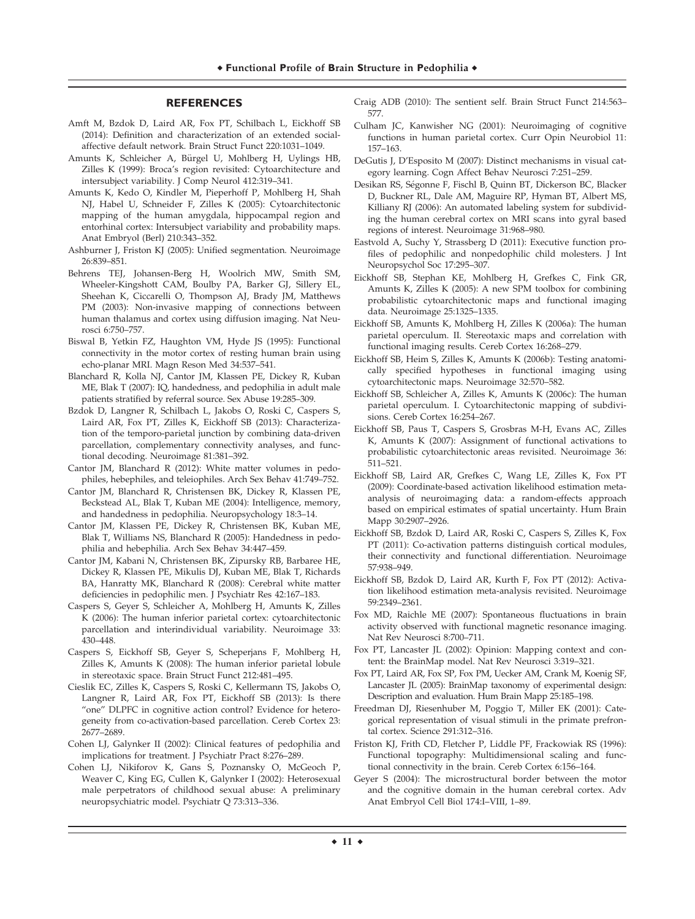#### **REFERENCES**

- Amft M, Bzdok D, Laird AR, Fox PT, Schilbach L, Eickhoff SB (2014): Definition and characterization of an extended socialaffective default network. Brain Struct Funct 220:1031–1049.
- Amunts K, Schleicher A, Bürgel U, Mohlberg H, Uylings HB, Zilles K (1999): Broca's region revisited: Cytoarchitecture and intersubject variability. J Comp Neurol 412:319–341.
- Amunts K, Kedo O, Kindler M, Pieperhoff P, Mohlberg H, Shah NJ, Habel U, Schneider F, Zilles K (2005): Cytoarchitectonic mapping of the human amygdala, hippocampal region and entorhinal cortex: Intersubject variability and probability maps. Anat Embryol (Berl) 210:343–352.
- Ashburner J, Friston KJ (2005): Unified segmentation. Neuroimage 26:839–851.
- Behrens TEJ, Johansen-Berg H, Woolrich MW, Smith SM, Wheeler-Kingshott CAM, Boulby PA, Barker GJ, Sillery EL, Sheehan K, Ciccarelli O, Thompson AJ, Brady JM, Matthews PM (2003): Non-invasive mapping of connections between human thalamus and cortex using diffusion imaging. Nat Neurosci 6:750–757.
- Biswal B, Yetkin FZ, Haughton VM, Hyde JS (1995): Functional connectivity in the motor cortex of resting human brain using echo-planar MRI. Magn Reson Med 34:537–541.
- Blanchard R, Kolla NJ, Cantor JM, Klassen PE, Dickey R, Kuban ME, Blak T (2007): IQ, handedness, and pedophilia in adult male patients stratified by referral source. Sex Abuse 19:285–309.
- Bzdok D, Langner R, Schilbach L, Jakobs O, Roski C, Caspers S, Laird AR, Fox PT, Zilles K, Eickhoff SB (2013): Characterization of the temporo-parietal junction by combining data-driven parcellation, complementary connectivity analyses, and functional decoding. Neuroimage 81:381–392.
- Cantor JM, Blanchard R (2012): White matter volumes in pedophiles, hebephiles, and teleiophiles. Arch Sex Behav 41:749–752.
- Cantor JM, Blanchard R, Christensen BK, Dickey R, Klassen PE, Beckstead AL, Blak T, Kuban ME (2004): Intelligence, memory, and handedness in pedophilia. Neuropsychology 18:3–14.
- Cantor JM, Klassen PE, Dickey R, Christensen BK, Kuban ME, Blak T, Williams NS, Blanchard R (2005): Handedness in pedophilia and hebephilia. Arch Sex Behav 34:447–459.
- Cantor JM, Kabani N, Christensen BK, Zipursky RB, Barbaree HE, Dickey R, Klassen PE, Mikulis DJ, Kuban ME, Blak T, Richards BA, Hanratty MK, Blanchard R (2008): Cerebral white matter deficiencies in pedophilic men. J Psychiatr Res 42:167–183.
- Caspers S, Geyer S, Schleicher A, Mohlberg H, Amunts K, Zilles K (2006): The human inferior parietal cortex: cytoarchitectonic parcellation and interindividual variability. Neuroimage 33: 430–448.
- Caspers S, Eickhoff SB, Geyer S, Scheperjans F, Mohlberg H, Zilles K, Amunts K (2008): The human inferior parietal lobule in stereotaxic space. Brain Struct Funct 212:481–495.
- Cieslik EC, Zilles K, Caspers S, Roski C, Kellermann TS, Jakobs O, Langner R, Laird AR, Fox PT, Eickhoff SB (2013): Is there "one" DLPFC in cognitive action control? Evidence for heterogeneity from co-activation-based parcellation. Cereb Cortex 23: 2677–2689.
- Cohen LJ, Galynker II (2002): Clinical features of pedophilia and implications for treatment. J Psychiatr Pract 8:276–289.
- Cohen LJ, Nikiforov K, Gans S, Poznansky O, McGeoch P, Weaver C, King EG, Cullen K, Galynker I (2002): Heterosexual male perpetrators of childhood sexual abuse: A preliminary neuropsychiatric model. Psychiatr Q 73:313–336.
- Craig ADB (2010): The sentient self. Brain Struct Funct 214:563– 577.
- Culham JC, Kanwisher NG (2001): Neuroimaging of cognitive functions in human parietal cortex. Curr Opin Neurobiol 11: 157–163.
- DeGutis J, D'Esposito M (2007): Distinct mechanisms in visual category learning. Cogn Affect Behav Neurosci 7:251–259.
- Desikan RS, Ségonne F, Fischl B, Quinn BT, Dickerson BC, Blacker D, Buckner RL, Dale AM, Maguire RP, Hyman BT, Albert MS, Killiany RJ (2006): An automated labeling system for subdividing the human cerebral cortex on MRI scans into gyral based regions of interest. Neuroimage 31:968–980.
- Eastvold A, Suchy Y, Strassberg D (2011): Executive function profiles of pedophilic and nonpedophilic child molesters. J Int Neuropsychol Soc 17:295–307.
- Eickhoff SB, Stephan KE, Mohlberg H, Grefkes C, Fink GR, Amunts K, Zilles K (2005): A new SPM toolbox for combining probabilistic cytoarchitectonic maps and functional imaging data. Neuroimage 25:1325–1335.
- Eickhoff SB, Amunts K, Mohlberg H, Zilles K (2006a): The human parietal operculum. II. Stereotaxic maps and correlation with functional imaging results. Cereb Cortex 16:268–279.
- Eickhoff SB, Heim S, Zilles K, Amunts K (2006b): Testing anatomically specified hypotheses in functional imaging using cytoarchitectonic maps. Neuroimage 32:570–582.
- Eickhoff SB, Schleicher A, Zilles K, Amunts K (2006c): The human parietal operculum. I. Cytoarchitectonic mapping of subdivisions. Cereb Cortex 16:254–267.
- Eickhoff SB, Paus T, Caspers S, Grosbras M-H, Evans AC, Zilles K, Amunts K (2007): Assignment of functional activations to probabilistic cytoarchitectonic areas revisited. Neuroimage 36: 511–521.
- Eickhoff SB, Laird AR, Grefkes C, Wang LE, Zilles K, Fox PT (2009): Coordinate-based activation likelihood estimation metaanalysis of neuroimaging data: a random-effects approach based on empirical estimates of spatial uncertainty. Hum Brain Mapp 30:2907–2926.
- Eickhoff SB, Bzdok D, Laird AR, Roski C, Caspers S, Zilles K, Fox PT (2011): Co-activation patterns distinguish cortical modules, their connectivity and functional differentiation. Neuroimage 57:938–949.
- Eickhoff SB, Bzdok D, Laird AR, Kurth F, Fox PT (2012): Activation likelihood estimation meta-analysis revisited. Neuroimage 59:2349–2361.
- Fox MD, Raichle ME (2007): Spontaneous fluctuations in brain activity observed with functional magnetic resonance imaging. Nat Rev Neurosci 8:700–711.
- Fox PT, Lancaster JL (2002): Opinion: Mapping context and content: the BrainMap model. Nat Rev Neurosci 3:319–321.
- Fox PT, Laird AR, Fox SP, Fox PM, Uecker AM, Crank M, Koenig SF, Lancaster JL (2005): BrainMap taxonomy of experimental design: Description and evaluation. Hum Brain Mapp 25:185–198.
- Freedman DJ, Riesenhuber M, Poggio T, Miller EK (2001): Categorical representation of visual stimuli in the primate prefrontal cortex. Science 291:312–316.
- Friston KJ, Frith CD, Fletcher P, Liddle PF, Frackowiak RS (1996): Functional topography: Multidimensional scaling and functional connectivity in the brain. Cereb Cortex 6:156–164.
- Geyer S (2004): The microstructural border between the motor and the cognitive domain in the human cerebral cortex. Adv Anat Embryol Cell Biol 174:I–VIII, 1–89.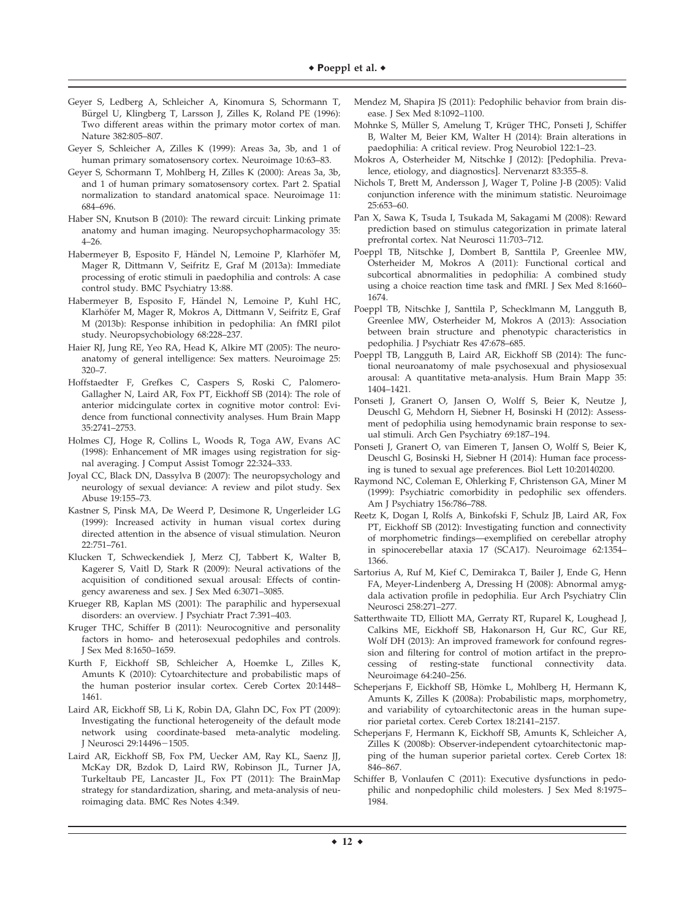- Geyer S, Ledberg A, Schleicher A, Kinomura S, Schormann T, Bürgel U, Klingberg T, Larsson J, Zilles K, Roland PE (1996): Two different areas within the primary motor cortex of man. Nature 382:805–807.
- Geyer S, Schleicher A, Zilles K (1999): Areas 3a, 3b, and 1 of human primary somatosensory cortex. Neuroimage 10:63–83.
- Geyer S, Schormann T, Mohlberg H, Zilles K (2000): Areas 3a, 3b, and 1 of human primary somatosensory cortex. Part 2. Spatial normalization to standard anatomical space. Neuroimage 11: 684–696.
- Haber SN, Knutson B (2010): The reward circuit: Linking primate anatomy and human imaging. Neuropsychopharmacology 35: 4–26.
- Habermeyer B, Esposito F, Händel N, Lemoine P, Klarhöfer M, Mager R, Dittmann V, Seifritz E, Graf M (2013a): Immediate processing of erotic stimuli in paedophilia and controls: A case control study. BMC Psychiatry 13:88.
- Habermeyer B, Esposito F, Händel N, Lemoine P, Kuhl HC, Klarhöfer M, Mager R, Mokros A, Dittmann V, Seifritz E, Graf M (2013b): Response inhibition in pedophilia: An fMRI pilot study. Neuropsychobiology 68:228–237.
- Haier RJ, Jung RE, Yeo RA, Head K, Alkire MT (2005): The neuroanatomy of general intelligence: Sex matters. Neuroimage 25: 320–7.
- Hoffstaedter F, Grefkes C, Caspers S, Roski C, Palomero-Gallagher N, Laird AR, Fox PT, Eickhoff SB (2014): The role of anterior midcingulate cortex in cognitive motor control: Evidence from functional connectivity analyses. Hum Brain Mapp 35:2741–2753.
- Holmes CJ, Hoge R, Collins L, Woods R, Toga AW, Evans AC (1998): Enhancement of MR images using registration for signal averaging. J Comput Assist Tomogr 22:324–333.
- Joyal CC, Black DN, Dassylva B (2007): The neuropsychology and neurology of sexual deviance: A review and pilot study. Sex Abuse 19:155–73.
- Kastner S, Pinsk MA, De Weerd P, Desimone R, Ungerleider LG (1999): Increased activity in human visual cortex during directed attention in the absence of visual stimulation. Neuron 22:751–761.
- Klucken T, Schweckendiek J, Merz CJ, Tabbert K, Walter B, Kagerer S, Vaitl D, Stark R (2009): Neural activations of the acquisition of conditioned sexual arousal: Effects of contingency awareness and sex. J Sex Med 6:3071–3085.
- Krueger RB, Kaplan MS (2001): The paraphilic and hypersexual disorders: an overview. J Psychiatr Pract 7:391–403.
- Kruger THC, Schiffer B (2011): Neurocognitive and personality factors in homo- and heterosexual pedophiles and controls. J Sex Med 8:1650–1659.
- Kurth F, Eickhoff SB, Schleicher A, Hoemke L, Zilles K, Amunts K (2010): Cytoarchitecture and probabilistic maps of the human posterior insular cortex. Cereb Cortex 20:1448– 1461.
- Laird AR, Eickhoff SB, Li K, Robin DA, Glahn DC, Fox PT (2009): Investigating the functional heterogeneity of the default mode network using coordinate-based meta-analytic modeling. J Neurosci 29:14496-1505.
- Laird AR, Eickhoff SB, Fox PM, Uecker AM, Ray KL, Saenz JJ, McKay DR, Bzdok D, Laird RW, Robinson JL, Turner JA, Turkeltaub PE, Lancaster JL, Fox PT (2011): The BrainMap strategy for standardization, sharing, and meta-analysis of neuroimaging data. BMC Res Notes 4:349.
- Mendez M, Shapira JS (2011): Pedophilic behavior from brain disease. J Sex Med 8:1092–1100.
- Mohnke S, Müller S, Amelung T, Krüger THC, Ponseti J, Schiffer B, Walter M, Beier KM, Walter H (2014): Brain alterations in paedophilia: A critical review. Prog Neurobiol 122:1–23.
- Mokros A, Osterheider M, Nitschke J (2012): [Pedophilia. Prevalence, etiology, and diagnostics]. Nervenarzt 83:355–8.
- Nichols T, Brett M, Andersson J, Wager T, Poline J-B (2005): Valid conjunction inference with the minimum statistic. Neuroimage 25:653–60.
- Pan X, Sawa K, Tsuda I, Tsukada M, Sakagami M (2008): Reward prediction based on stimulus categorization in primate lateral prefrontal cortex. Nat Neurosci 11:703–712.
- Poeppl TB, Nitschke J, Dombert B, Santtila P, Greenlee MW, Osterheider M, Mokros A (2011): Functional cortical and subcortical abnormalities in pedophilia: A combined study using a choice reaction time task and fMRI. J Sex Med 8:1660– 1674.
- Poeppl TB, Nitschke J, Santtila P, Schecklmann M, Langguth B, Greenlee MW, Osterheider M, Mokros A (2013): Association between brain structure and phenotypic characteristics in pedophilia. J Psychiatr Res 47:678–685.
- Poeppl TB, Langguth B, Laird AR, Eickhoff SB (2014): The functional neuroanatomy of male psychosexual and physiosexual arousal: A quantitative meta-analysis. Hum Brain Mapp 35: 1404–1421.
- Ponseti J, Granert O, Jansen O, Wolff S, Beier K, Neutze J, Deuschl G, Mehdorn H, Siebner H, Bosinski H (2012): Assessment of pedophilia using hemodynamic brain response to sexual stimuli. Arch Gen Psychiatry 69:187–194.
- Ponseti J, Granert O, van Eimeren T, Jansen O, Wolff S, Beier K, Deuschl G, Bosinski H, Siebner H (2014): Human face processing is tuned to sexual age preferences. Biol Lett 10:20140200.
- Raymond NC, Coleman E, Ohlerking F, Christenson GA, Miner M (1999): Psychiatric comorbidity in pedophilic sex offenders. Am J Psychiatry 156:786–788.
- Reetz K, Dogan I, Rolfs A, Binkofski F, Schulz JB, Laird AR, Fox PT, Eickhoff SB (2012): Investigating function and connectivity of morphometric findings—exemplified on cerebellar atrophy in spinocerebellar ataxia 17 (SCA17). Neuroimage 62:1354– 1366.
- Sartorius A, Ruf M, Kief C, Demirakca T, Bailer J, Ende G, Henn FA, Meyer-Lindenberg A, Dressing H (2008): Abnormal amygdala activation profile in pedophilia. Eur Arch Psychiatry Clin Neurosci 258:271–277.
- Satterthwaite TD, Elliott MA, Gerraty RT, Ruparel K, Loughead J, Calkins ME, Eickhoff SB, Hakonarson H, Gur RC, Gur RE, Wolf DH (2013): An improved framework for confound regression and filtering for control of motion artifact in the preprocessing of resting-state functional connectivity data. Neuroimage 64:240–256.
- Scheperjans F, Eickhoff SB, Hömke L, Mohlberg H, Hermann K, Amunts K, Zilles K (2008a): Probabilistic maps, morphometry, and variability of cytoarchitectonic areas in the human superior parietal cortex. Cereb Cortex 18:2141–2157.
- Scheperjans F, Hermann K, Eickhoff SB, Amunts K, Schleicher A, Zilles K (2008b): Observer-independent cytoarchitectonic mapping of the human superior parietal cortex. Cereb Cortex 18: 846–867.
- Schiffer B, Vonlaufen C (2011): Executive dysfunctions in pedophilic and nonpedophilic child molesters. J Sex Med 8:1975– 1984.